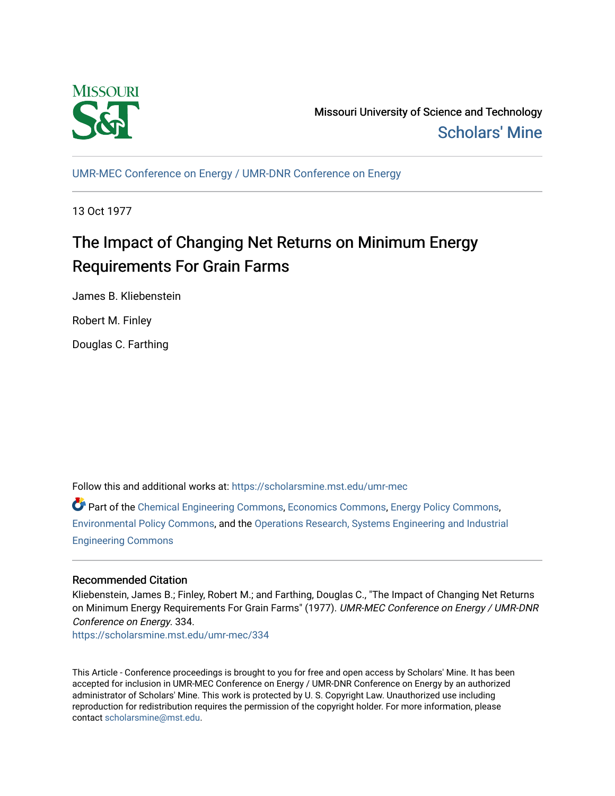

Missouri University of Science and Technology [Scholars' Mine](https://scholarsmine.mst.edu/) 

[UMR-MEC Conference on Energy / UMR-DNR Conference on Energy](https://scholarsmine.mst.edu/umr-mec)

13 Oct 1977

# The Impact of Changing Net Returns on Minimum Energy Requirements For Grain Farms

James B. Kliebenstein

Robert M. Finley

Douglas C. Farthing

Follow this and additional works at: [https://scholarsmine.mst.edu/umr-mec](https://scholarsmine.mst.edu/umr-mec?utm_source=scholarsmine.mst.edu%2Fumr-mec%2F334&utm_medium=PDF&utm_campaign=PDFCoverPages) 

Part of the [Chemical Engineering Commons](http://network.bepress.com/hgg/discipline/240?utm_source=scholarsmine.mst.edu%2Fumr-mec%2F334&utm_medium=PDF&utm_campaign=PDFCoverPages), [Economics Commons,](http://network.bepress.com/hgg/discipline/340?utm_source=scholarsmine.mst.edu%2Fumr-mec%2F334&utm_medium=PDF&utm_campaign=PDFCoverPages) [Energy Policy Commons,](http://network.bepress.com/hgg/discipline/1065?utm_source=scholarsmine.mst.edu%2Fumr-mec%2F334&utm_medium=PDF&utm_campaign=PDFCoverPages) [Environmental Policy Commons,](http://network.bepress.com/hgg/discipline/1027?utm_source=scholarsmine.mst.edu%2Fumr-mec%2F334&utm_medium=PDF&utm_campaign=PDFCoverPages) and the [Operations Research, Systems Engineering and Industrial](http://network.bepress.com/hgg/discipline/305?utm_source=scholarsmine.mst.edu%2Fumr-mec%2F334&utm_medium=PDF&utm_campaign=PDFCoverPages) [Engineering Commons](http://network.bepress.com/hgg/discipline/305?utm_source=scholarsmine.mst.edu%2Fumr-mec%2F334&utm_medium=PDF&utm_campaign=PDFCoverPages) 

# Recommended Citation

Kliebenstein, James B.; Finley, Robert M.; and Farthing, Douglas C., "The Impact of Changing Net Returns on Minimum Energy Requirements For Grain Farms" (1977). UMR-MEC Conference on Energy / UMR-DNR Conference on Energy. 334.

[https://scholarsmine.mst.edu/umr-mec/334](https://scholarsmine.mst.edu/umr-mec/334?utm_source=scholarsmine.mst.edu%2Fumr-mec%2F334&utm_medium=PDF&utm_campaign=PDFCoverPages) 

This Article - Conference proceedings is brought to you for free and open access by Scholars' Mine. It has been accepted for inclusion in UMR-MEC Conference on Energy / UMR-DNR Conference on Energy by an authorized administrator of Scholars' Mine. This work is protected by U. S. Copyright Law. Unauthorized use including reproduction for redistribution requires the permission of the copyright holder. For more information, please contact [scholarsmine@mst.edu](mailto:scholarsmine@mst.edu).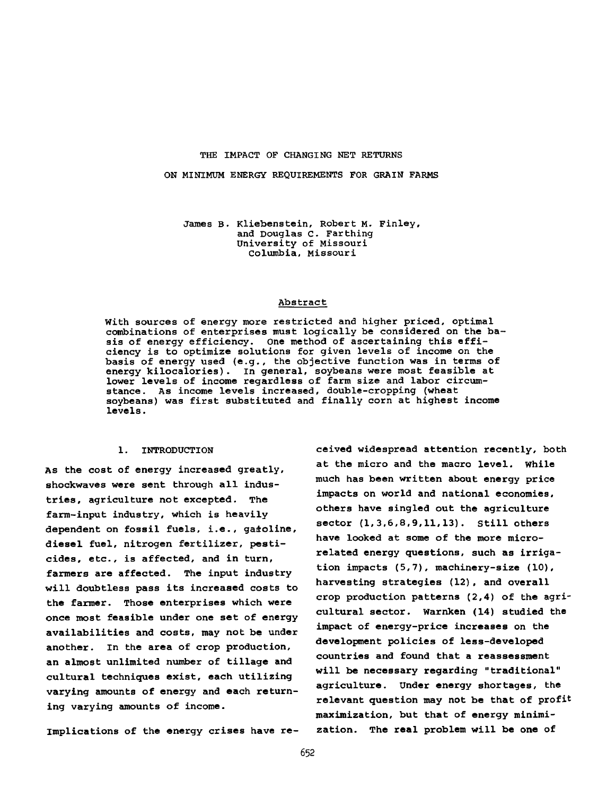#### THE IMPACT OF CHANGING NET RETURNS

ON MINIMUM ENERGY REQUIREMENTS FOR GRAIN FARMS

James B. Kliebenstein, Robert M. Finley, and Douglas C. Farthing University of Missouri Columbia, Missouri

#### Abstract

With sources of energy more restricted and higher priced, optimal combinations of enterprises must logically be considered on the basis of energy efficiency. One method of ascertaining this efficiency is to optimize solutions for given levels of income on the basis of energy used (e.g., the objective function was in terms of energy kilocalories). In general, soybeans were most feasible at lower levels of income regardless of farm size and labor circumstance. As income levels increased, double-cropping (wheat soybeans) was first substituted and finally corn at highest income levels.

# 1. INTRODUCTION

As the cost of energy increased greatly, shockwaves were sent through all industries, agriculture not excepted. The farm-input industry, which is heavily dependent on fossil fuels, i.e., gasoline, diesel fuel, nitrogen fertilizer, pesticides, etc., is affected, and in turn, farmers are affected. The input industry will doubtless pass its increased costs to the farmer. Those enterprises which were once most feasible under one set of energy availabilities and costs, may not be under another. In the area of crop production, an almost unlimited number of tillage and cultural techniques exist, each utilizing varying amounts of energy and each returning varying amounts of income.

Implications of the energy crises have re-

ceived widespread attention recently, both at the micro and the macro level, while much has been written about energy price impacts on world and national economies, others have singled out the agriculture sector (1,3,6,8,9,11,13). Still others have looked at some of the more microrelated energy questions, such as irrigation impacts (5,7), machinery-size (10), harvesting strategies (12), and overall crop production patterns (2,4) of the agricultural sector. Warnken (14) studied the impact of energy-price increases on the development policies of less-developed countries and found that a reassessment will be necessary regarding "traditional" agriculture. Under energy shortages, the relevant question may not be that of profit maximization, but that of energy minimization. The real problem will be one of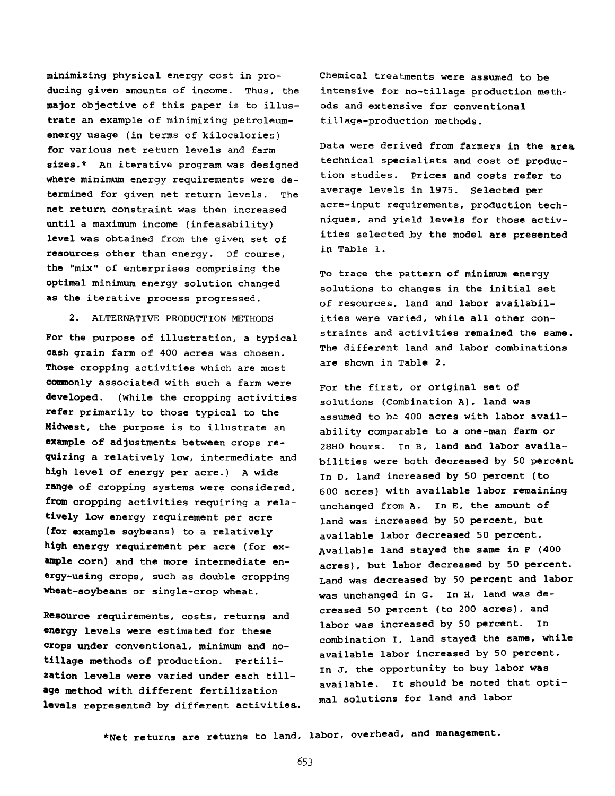minimizing physical energy cost in producing given amounts of income. Thus, the major objective of this paper is to illustrate an example of minimizing petroleumenergy usage (in terms of kilocalories) for various net return levels and farm sizes.\* An iterative program was designed where minimum energy requirements were determined for given net return levels. The net return constraint was then increased until a maximum income (infeasability) level was obtained from the given set of resources other than energy. Of course, the "mix" of enterprises comprising the optimal minimum energy solution changed as the iterative process progressed.

2. ALTERNATIVE PRODUCTION METHODS

For the purpose of illustration, a typical cash grain farm of 400 acres was chosen. Those cropping activities which are most commonly associated with such a farm were developed. (While the cropping activities refer primarily to those typical to the Midwest, the purpose is to illustrate an example of adjustments between crops requiring a relatively low, intermediate and high level of energy per acre.) A wide range of cropping systems were considered, from cropping activities requiring a relatively low energy requirement per acre (for example soybeans) to a relatively high energy requirement per acre (for example corn) and the more intermediate energy-using crops, such as double cropping wheat-soybeans or single-crop wheat.

Resource requirements, costs, returns and energy levels were estimated for these crops under conventional, minimum and notillage methods of production. Fertilization levels were varied under each tillage method with different fertilization levels represented by different activities.. Chemical treatments were assumed to be intensive for no-tillage production methods and extensive for conventional tillage-production methods.

Data were derived from farmers in the area technical specialists and cost of production studies. Prices and costs refer to average levels in 1975. Selected per acre-input requirements, production techniques, and yield levels for those activities selected by the model are presented in Table 1.

To trace the pattern of minimum energy solutions to changes in the initial set of resources, land and labor availabilities were varied, while all other constraints and activities remained the same. The different land and labor combinations are shown in Table 2.

For the first, or original set of solutions (Combination A), land was assumed to be 400 acres with labor availability comparable to a one-man farm or 2880 hours. In B, land and labor availabilities were both decreased by 50 percent In D, land increased by 50 percent (to 600 acres) with available labor remaining unchanged from A. In E, the amount of land was increased by 50 percent, but available labor decreased 50 percent. Available land stayed the same in F (400 acres), but labor decreased by 50 percent. Land was decreased by 50 percent and labor was unchanged in G. In H, land was decreased 50 percent (to 200 acres), and labor was increased by 50 percent. In combination I, land stayed the same, while available labor increased by 50 percent, In J, the opportunity to buy labor was available. It should be noted that optimal solutions for land and labor

\*Net returns are returns to land, labor, overhead, and management.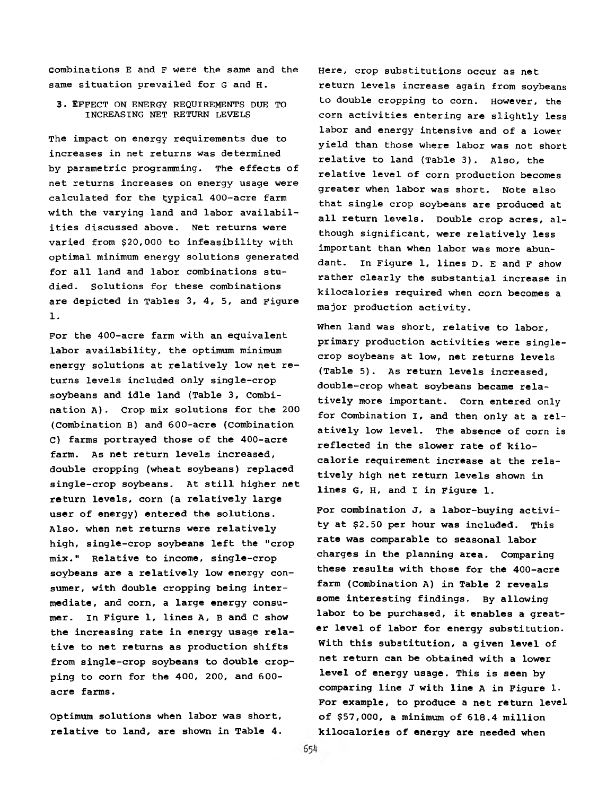combinations E and F were the same and the same situation prevailed for G and H.

3. EFFECT ON ENERGY REQUIREMENTS DUE TO INCREASING NET RETURN LEVELS

The impact on energy requirements due to increases in net returns was determined by parametric programming. The effects of net returns increases on energy usage were calculated for the typical 400-acre farm with the varying land and labor availabilities discussed above. Net returns were varied from \$20,000 to infeasibility with optimal minimum energy solutions generated for all land and labor combinations studied. Solutions for these combinations are depicted in Tables 3, 4, 5, and Figure 1.

For the 400-acre farm with an equivalent labor availability, the optimum minimum energy solutions at relatively low net returns levels included only single-crop soybeans and idle land (Table 3, Combination A). Crop mix solutions for the 200 (Combination B) and 600-acre (Combination C) farms portrayed those of the 400-acre farm. As net return levels increased, double cropping (wheat soybeans) replaced single-crop soybeans. At still higher net return levels, corn (a relatively large user of energy) entered the solutions. Also, when net returns were relatively high, single-crop soybeans left the "crop mix." Relative to income, single-crop soybeans are a relatively low energy consumer, with double cropping being intermediate, and corn, a large energy consumer. In Figure 1, lines A, B and **c** show the increasing rate in energy usage relative to net returns as production shifts from single-crop soybeans to double cropping to corn for the 400, 200, and 600 acre farms.

Optimum solutions when labor was short, relative to land, are shown in Table 4.

Here, crop substitutions occur as net return levels increase again from soybeans to double cropping to corn. However, the corn activities entering are slightly less labor and energy intensive and of a lower yield than those where labor was not short relative to land (Table 3). Also, the relative level of corn production becomes greater when labor was short. Note also that single crop soybeans are produced at all return levels. Double crop acres, although significant, were relatively less important than when labor was more abundant. In Figure 1, lines D. E and F show rather clearly the substantial increase in kilocalories required when corn becomes a major production activity.

When land was short, relative to labor, primary production activities were singlecrop soybeans at low, net returns levels (Table 5). As return levels increased, double-crop wheat soybeans became relatively more important. Corn entered only for Combination I, and then only at a relatively low level. The absence of corn is reflected in the slower rate of kilocalorie requirement increase at the relatively high net return levels shown in lines G, H, and I in Figure 1.

For combination J, a labor-buying activity at \$2.50 per hour was included. This rate was comparable to seasonal labor charges in the planning area. Comparing these results with those for the 400-acre farm (Combination A) in Table 2 reveals some interesting findings. By allowing labor to be purchased, it enables a greater level of labor for energy substitution. With this substitution, a given level of net return can be obtained with a lower level of energy usage. This is seen by comparing line J with line A in Figure 1. For example, to produce a net return level of \$57,000, a minimum of 618.4 million kilocalories of energy are needed when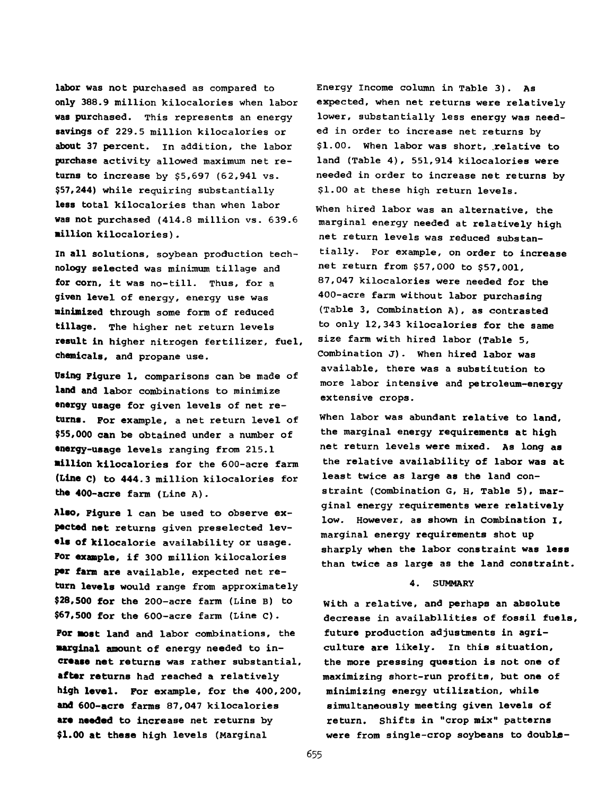labor was not purchased as compared to only 388.9 million kilocalories when labor was purchased. This represents an energy savings of 229.5 million kilocalories or about 37 percent, in addition, the labor purchase activity allowed maximum net returns to increase by \$5,697 (62,941 vs. \$57,244) while requiring substantially less total kilocalories than when labor was not purchased (414.8 million vs. 639.6 million kilocalories).

In all solutions, soybean production technology selected was minimum tillage and for corn, it was no-till. Thus, for a given level of energy, energy use was minimized through some form of reduced tillage. The higher net return levels result in higher nitrogen fertilizer, fuel, chemicals, and propane use.

Using Figure 1, comparisons can be made of **land and** labor combinations to minimize **energy usage** for given levels of net re**turns.** For example, a net return level of **\$55,000 can** be obtained under a number of **energy-usage** levels ranging from 215.1 **million** kilocalories for the 600-acre farm **(Line c) to 444.3** million kilocalories for the 400-acre farm (Line A).

**Also, Figure 1** can be used to observe ex**pected net** returns given preselected lev**els of** kilocalorie availability or usage. **Por example,** if 300 million kilocalories **per farm are** available, expected net re**turn levels** would range from approximately **\$28,500 for** the 200-acre farm (Line B) to **\$67,500 for** the 600-acre farm (Line **c) . For most** land and labor combinations, the **marginal amount** of energy needed to in**crease net returns** was rather substantial, **after returns** had reached a relatively **high level. For** example, for the 400,200, **and 600-acre** farms 87,047 kilocalories **are needed to** increase net returns by **\$1.00 at these** high levels (Marginal

Energy income column in Table 3). As expected, when net returns were relatively lower, substantially less energy was needed in order to increase net returns by \$1.00. When labor was short, relative to land (Table 4), 551,914 kilocalories were needed in order to increase net returns by \$1.00 at these high return levels.

When hired labor was an alternative, the marginal energy needed at relatively high net return levels was reduced substantially- For example, on order to increase net return from \$57,000 to \$57,001, 87,047 kilocalories were needed for the 400-acre farm without labor purchasing (Table 3, Combination A), as contrasted to only 12,343 kilocalories for the same size farm with hired labor (Table 5, Combination J). when hired labor was available, there was a substitution to more labor intensive and petroleum-energy extensive crops.

When labor was abundant relative to land, the marginal energy requirements at high net return levels were mixed. As long as the relative availability of labor was at least twice as large as the land constraint (combination G, H, Table 5), marginal energy requirements were relatively low. However, as shown in Combination I, marginal energy requirements shot up sharply when the labor constraint was less than twice as large as the land constraint.

### 4. SUMMARY

With a relative, and perhaps an absolute decrease in availabilities of fossil fuels, future production adjustments in agriculture are likely, in this situation, the more pressing question is not one of maximizing short-run profits, but one of minimizing energy utilization, while simultaneously meeting given levels of return. Shifts in "crop mix" patterns were from single-crop soybeans to double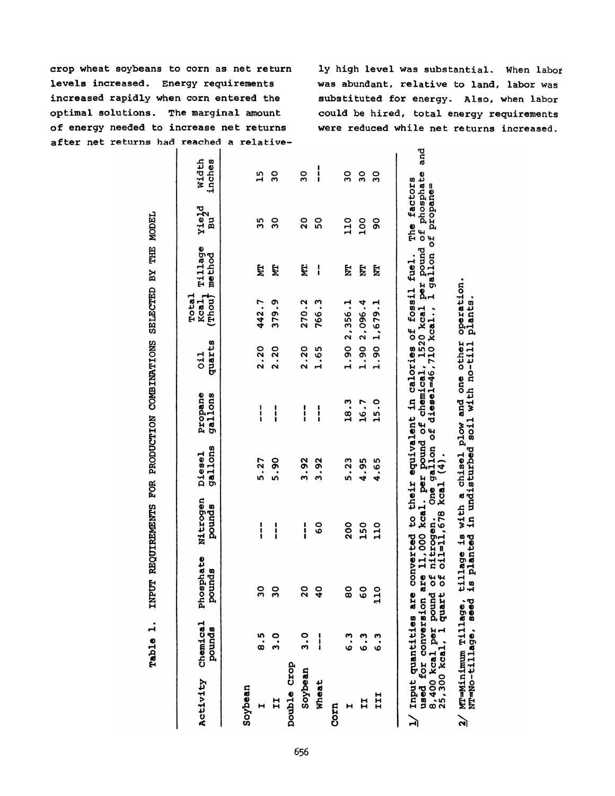crop wheat soybeans to corn as net return levels increased. Energy requirements increased rapidly when corn entered the optimal solutions. The marginal amount of energy needed to increase net returns after net returns had reached a relative-

ly high level was substantial. When labor was abundant, relative to land, labor was substituted for energy. Also, when labor could be hired, total energy requirements were reduced while net returns increased.

|             | Table 1.                                                                                    | INPUT REQUIREMENTS  |                                                                                                                                                                                                                                                       |                               | FOR PRODUCTION COMBINATIONS |               | SELECTED BY                          |                   | THE MODEL               |                         |
|-------------|---------------------------------------------------------------------------------------------|---------------------|-------------------------------------------------------------------------------------------------------------------------------------------------------------------------------------------------------------------------------------------------------|-------------------------------|-----------------------------|---------------|--------------------------------------|-------------------|-------------------------|-------------------------|
|             | Activity Chemical<br>pounds                                                                 | Phosphate<br>pounds | Nitrogen<br>pounds                                                                                                                                                                                                                                    | gallons<br>Diesel             | Propane<br>gallons          | quarts<br>011 | Total<br>Kcal,<br>$($ Thou $\dagger$ | Tillage<br>method | Yield<br>ัธ<br>ค        | width<br>inches         |
| Soybean     |                                                                                             |                     |                                                                                                                                                                                                                                                       |                               |                             |               |                                      |                   |                         |                         |
|             | 8.5                                                                                         | 30                  | $\frac{1}{1}$                                                                                                                                                                                                                                         | 5.27                          | I                           | 2.20          | 442.7                                | Ę                 | 35                      | 15                      |
|             | 3.0                                                                                         | 30                  | i                                                                                                                                                                                                                                                     | 5.90                          | i                           | 2.20          | 379.9                                | Ë                 | $\overline{\mathbf{3}}$ | $\overline{\mathbf{3}}$ |
| pouble Crop |                                                                                             |                     |                                                                                                                                                                                                                                                       |                               |                             |               |                                      |                   |                         |                         |
| Soybean     | $\frac{0}{2}$                                                                               | $\overline{20}$     | $\frac{1}{1}$                                                                                                                                                                                                                                         | 3.92                          | $\mathbf{i}$                | 2.20          | 270.2                                | Ë                 | 20                      | 30                      |
| Wheat       |                                                                                             | $\mathbf{a}$        | <b>့</b>                                                                                                                                                                                                                                              | 3.92                          | i                           | 1.65          | 766.3                                | I                 | 50                      | $\frac{1}{1}$           |
| Corn        |                                                                                             |                     |                                                                                                                                                                                                                                                       |                               |                             |               |                                      |                   |                         |                         |
|             | 6.3                                                                                         | 80                  | 200                                                                                                                                                                                                                                                   | 5.23                          | 18.3                        |               | 1.90 2,356.1                         | E                 | 110                     | 30                      |
|             | 6.3                                                                                         | <b>GO</b>           | 150                                                                                                                                                                                                                                                   | 4.95                          | 16.7                        | 1.90          | 2,096.4                              | E                 | 100                     | 30                      |
| III         | 6.3                                                                                         | $\overline{10}$     | 110                                                                                                                                                                                                                                                   | 4.65                          | 15.0                        |               | 1.90 1,679.1                         | E                 | $\overline{90}$         | $\overline{\mathbf{3}}$ |
|             | 1/ Input quantities ar<br>used for conversion<br>8,400 kcal per poun<br>25,300 kcal, l quar | <b>a</b><br>س ب     | are 11,000 kcal. per pound of chemical, 1520 kcal per pound of phosphate<br>  of nitrogen. One gallon of diesel=46,710 kcal., l gallon of propane=<br>e converted to their equivalent in calories of fossil fuel.<br>nitrogen. One<br>oil=11,678 kcal | One gallon of<br>$\mathbf{f}$ |                             |               |                                      |                   | The factors             | and                     |
|             | $2/$ MT=Minimum Tillage,<br>NT=No-tillage, seed                                             |                     | tillage is with a chisel plow and one other<br>is planted in undisturbed soil with no-till                                                                                                                                                            |                               |                             |               | operation.<br>plants                 |                   |                         |                         |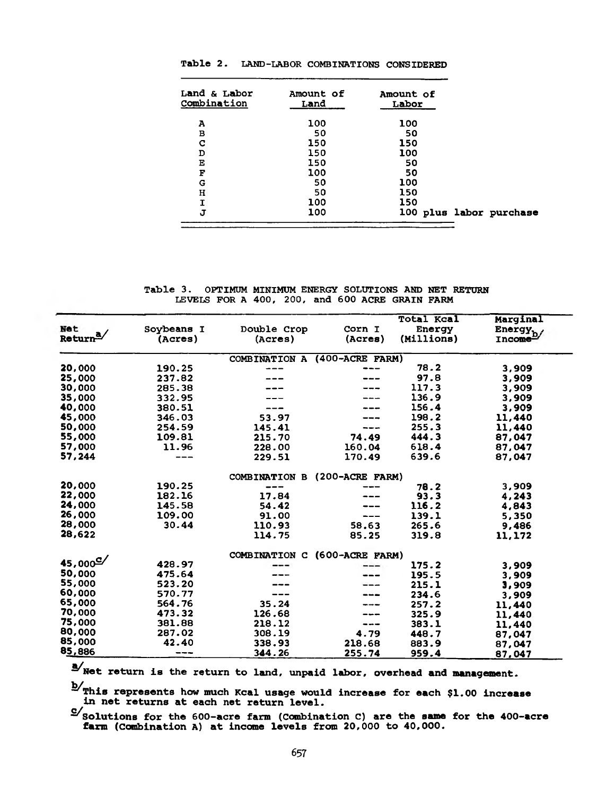| Land & Labor<br>Combination | Amount of<br>Land | Amount of<br>Labor |                         |
|-----------------------------|-------------------|--------------------|-------------------------|
| A                           | 100               | 100                |                         |
| в                           | 50                | 50                 |                         |
| C                           | 150               | 150                |                         |
| D                           | 150               | 100                |                         |
| Е                           | 150               | 50                 |                         |
| F                           | 100               | 50                 |                         |
| G                           | 50                | 100                |                         |
| н                           | 50                | 150                |                         |
| I                           | 100               | 150                |                         |
| J                           | 100               |                    | 100 plus labor purchase |
|                             |                   |                    |                         |

Table 2. LAND-LABOR COMBINATIONS CONSIDERED

Table 3. OPTIMUM MINIMUM ENERGY SOLUTIONS AND NET RETURN LEVELS FOR A 400, 200, and 600 ACRE GRAIN FARM

|                       |                   |                      |                     | <b>Total Kcal</b> | Marginal             |
|-----------------------|-------------------|----------------------|---------------------|-------------------|----------------------|
| <b>Net</b>            | Soybeans I        | Double Crop          | Corn I              | Energy            | Energy <sub>h</sub>  |
| Return <sup>a</sup> / | (Acres)           | (Acres)              | (Acres)             | (Millions)        | Incone <sup>27</sup> |
|                       |                   | COMBINATION A        | $(400 - ACRE$ FARM) |                   |                      |
| 20,000                | 190.25            |                      |                     | 78.2              | 3,909                |
| 25,000                | 237.82            |                      |                     | 97.8              | 3,909                |
| 30,000                | 285.38            |                      |                     | 117.3             | 3,909                |
| 35,000                | 332.95            |                      |                     | 136.9             | 3,909                |
| 40,000                | 380.51            |                      |                     | 156.4             | 3,909                |
| 45,000                | 346.03            | 53.97                |                     | 198.2             | 11,440               |
| 50,000                | 254.59            | 145.41               |                     | 255.3             | 11,440               |
| 55,000                | 109.81            | 215.70               | 74.49               | 444.3             | 87,047               |
| 57,000                | 11.96             | 228.00               | 160.04              | 618.4             | 87.047               |
| 57,244                | $\qquad \qquad -$ | 229.51               | 170.49              | 639.6             | 87,047               |
|                       |                   | <b>COMBINATION B</b> | $(200 - ACRE$ FARM) |                   |                      |
| 20,000                | 190.25            |                      |                     | 78.2              | 3,909                |
| 22,000                | 182.16            | 17.84                |                     | 93.3              | 4,243                |
| 24,000                | 145.58            | 54.42                |                     | 116.2             | 4,843                |
| 26,000                | 109.00            | 91.00                | ---                 | 139.1             | 5,350                |
| 28,000                | 30.44             | 110.93               | 58.63               | 265.6             | 9,486                |
| 28,622                |                   | 114.75               | 85.25               | 319.8             | 11,172               |
|                       |                   | <b>COMBINATION C</b> | (600-ACRE FARM)     |                   |                      |
| 45,000 $\degree$      | 428.97            |                      |                     | 175.2             | 3,909                |
| 50,000                | 475.64            |                      |                     | 195.5             | 3,909                |
| 55,000                | 523.20            |                      |                     | 215.1             | 3,909                |
| 60,000                | 570.77            |                      |                     | 234.6             | 3,909                |
| 65.000                | 564.76            | 35.24                |                     | 257.2             | 11,440               |
| 70,000                | 473.32            | 126.68               |                     | 325.9             | 11,440               |
| 75,000                | 381.88            | 218.12               |                     | 383.1             | 11,440               |
| 80,000                | 287.02            | 308.19               | 4.79                | 448.7             | 87,047               |
| 85,000                | 42.40             | 338.93               | 218.68              | 883.9             | 87,047               |
| 85,886                |                   | 344.26               | 255.74              | 959.4             | 87,047               |

 $\Delta'$ Net return is the return to land, unpaid labor, overhead and management.

b/This represents how much Kcal usage would increase for each \$1.00 increase in net returns at each net return level,

 $S'$ Solutions for the 600-acre farm (Combination C) are the same for the 400-acre farm (Combination A) at income levels from 20,000 to 40,000.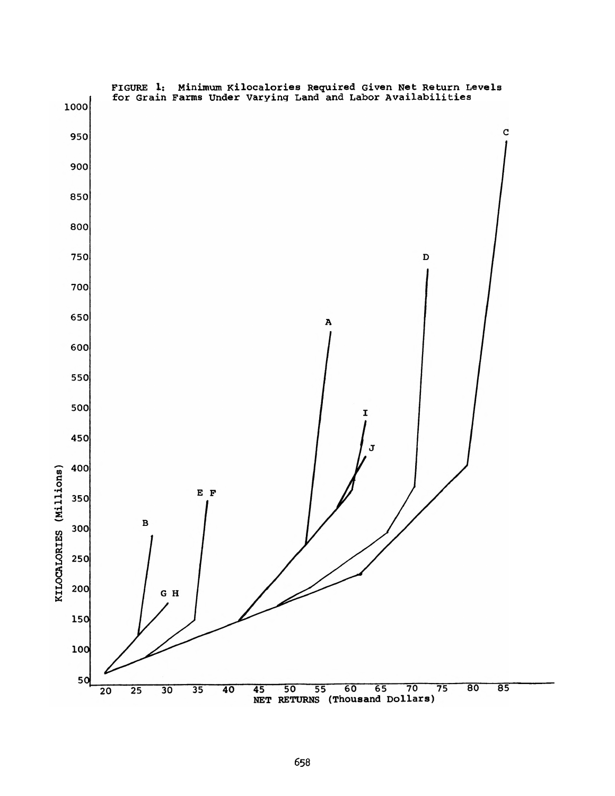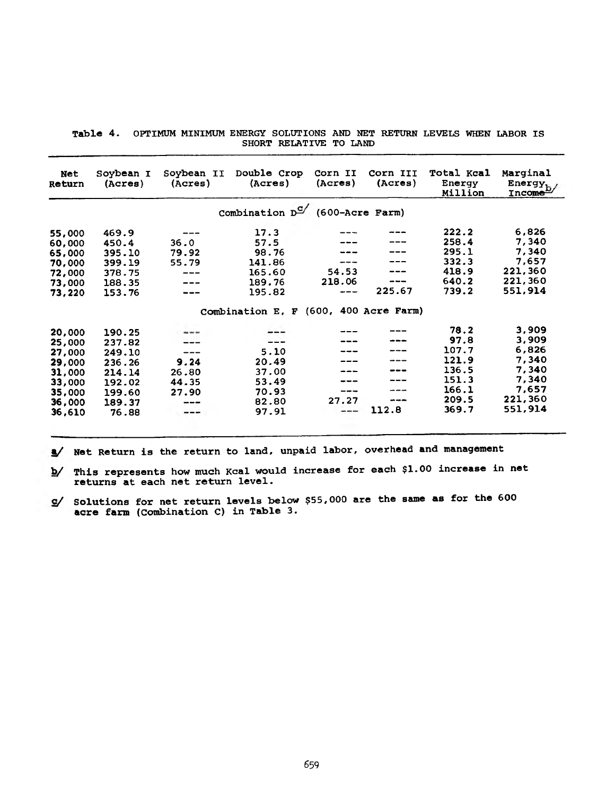|  |  | Table 4. OPTIMUM MINIMUM ENERGY SOLUTIONS AND NET RETURN LEVELS WHEN LABOR IS |  |  |  |  |
|--|--|-------------------------------------------------------------------------------|--|--|--|--|
|  |  | SHORT RELATIVE TO LAND                                                        |  |  |  |  |

| <b>Net</b><br><b>Return</b> | Soybean I<br>(A <sub>c</sub> res) | Soybean II<br>(Acres) | Double Crop<br>(Acres)                     | Corn II<br>(Acres) | Corn III<br>(Acres) | <b>Total Kcal</b><br>Energy<br>Million | Marginal<br>Energy <sub>h</sub><br>Income <sup>L/</sup> |
|-----------------------------|-----------------------------------|-----------------------|--------------------------------------------|--------------------|---------------------|----------------------------------------|---------------------------------------------------------|
|                             |                                   |                       | Combination $D^{\text{C}}$ (600-Acre Farm) |                    |                     |                                        |                                                         |
| 55,000                      | 469.9                             |                       | 17.3                                       |                    |                     | 222.2                                  | 6,826                                                   |
| 60,000                      | 450.4                             | 36.0                  | 57.5                                       |                    |                     | 258.4                                  | 7,340                                                   |
| 65,000                      | 395.10                            | 79.92                 | 98.76                                      |                    |                     | 295.1                                  | 7,340                                                   |
| 70,000                      | 399.19                            | 55.79                 | 141.86                                     | ----               |                     | 332.3                                  | 7,657                                                   |
| 72,000                      | 378.75                            |                       | 165.60                                     | 54.53              |                     | 418.9                                  | 221,360                                                 |
| 73,000                      | 188.35                            |                       | 189.76                                     | 218.06             |                     | 640.2                                  | 221,360                                                 |
| 73,220                      | 153.76                            |                       | 195.82                                     | ---                | 225.67              | 739.2                                  | 551,914                                                 |
|                             |                                   |                       | Combination E. F (600, 400 Acre Farm)      |                    |                     |                                        |                                                         |
|                             |                                   |                       |                                            |                    |                     | 78.2                                   | 3,909                                                   |
| 20,000                      | 190.25                            |                       |                                            |                    |                     | 97.8                                   | 3,909                                                   |
| 25,000                      | 237.82                            |                       |                                            |                    |                     | 107.7                                  | 6,826                                                   |
| 27,000                      | 249.10                            |                       | 5.10                                       |                    |                     | 121.9                                  | 7,340                                                   |
| 29,000                      | 236.26                            | 9.24                  | 20.49                                      |                    |                     | 136.5                                  | 7,340                                                   |
| 31,000                      | 214.14                            | 26.80                 | 37.00                                      |                    |                     |                                        |                                                         |
| 33,000                      | 192.02                            | 44.35                 | 53.49                                      |                    |                     | 151.3                                  | 7,340                                                   |
| 35,000                      | 199.60                            | 27.90                 | 70.93                                      | ----               |                     | 166.1                                  | 7,657                                                   |
| 36,000                      | 189.37                            | ---                   | 82.80                                      | 27.27              | ---                 | 209.5                                  | 221,360                                                 |
| 36,610                      | 76.88                             | ---                   | 97.91                                      |                    | 112.8               | 369.7                                  | 551,914                                                 |
|                             |                                   |                       |                                            |                    |                     |                                        |                                                         |

*\* /* Net Return is the return to land, unpaid labor, overhead and management

*b /* This represents how much Kcal would increase for each \$1.00 increase in net returns at each net return level.

*c /* Solutions for net return levels below \$55,000 are the same as for the 600 acre farm (Combination C) in Table 3.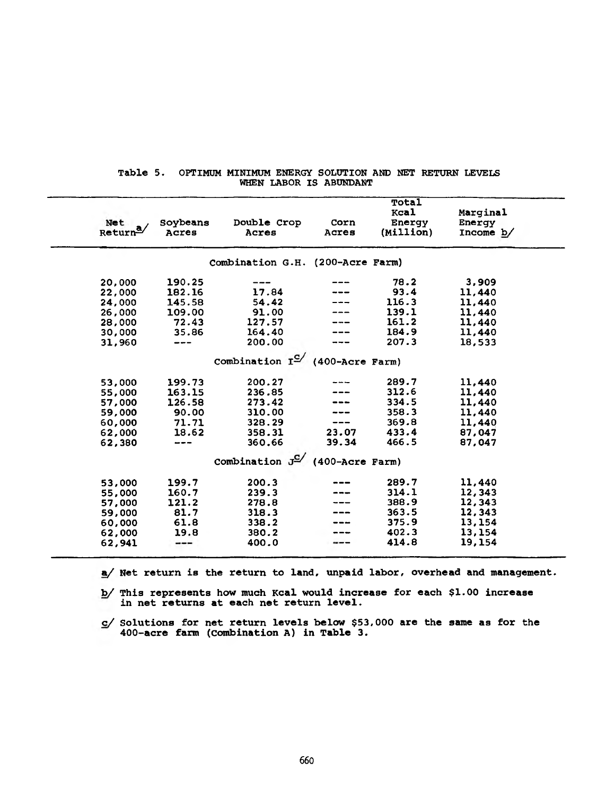| Net<br>Return <sup>o</sup> | Soybeans<br>Acres | Double Crop<br>Acres                         | Corn<br>Acres | Total<br>Kcal<br>Energy<br>(Million) | Marginal<br>Energy<br>Income $b/$ |  |
|----------------------------|-------------------|----------------------------------------------|---------------|--------------------------------------|-----------------------------------|--|
|                            |                   | Combination G.H. (200-Acre Farm)             |               |                                      |                                   |  |
| 20,000                     | 190.25            |                                              |               | 78.2                                 | 3,909                             |  |
| 22,000                     | 182.16            | 17.84                                        |               | 93.4                                 | 11,440                            |  |
| 24,000                     | 145.58            | 54.42                                        |               | 116.3                                | 11,440                            |  |
| 26,000                     | 109.00            | 91.00                                        |               | 139.1                                | 11,440                            |  |
| 28,000                     | 72.43             | 127.57                                       |               | 161.2                                | 11,440                            |  |
| 30,000                     | 35.86             | 164.40                                       |               | 184.9                                | 11,440                            |  |
| 31,960                     |                   | 200.00                                       |               | 207.3                                | 18,533                            |  |
|                            |                   | Combination $I^{\mathbb{C}}$ (400-Acre Farm) |               |                                      |                                   |  |
| 53,000                     | 199.73            | 200.27                                       |               | 289.7                                | 11,440                            |  |
| 55,000                     | 163.15            | 236.85                                       |               | 312.6                                | 11,440                            |  |
| 57,000                     | 126.58            | 273.42                                       |               | 334.5                                | 11,440                            |  |
| 59,000                     | 90.00             | 310.00                                       |               | 358.3                                | 11,440                            |  |
| 60,000                     | 71.71             | 328.29                                       |               | 369.8                                | 11,440                            |  |
| 62,000                     | 18.62             | 358.31                                       | 23.07         | 433.4                                | 87,047                            |  |
| 62,380                     |                   | 360.66                                       | 39.34         | 466.5                                | 87,047                            |  |
|                            |                   | Combination $J^{\mathbb{C}}$ (400-Acre Farm) |               |                                      |                                   |  |
| 53,000                     | 199.7             | 200.3                                        |               | 289.7                                | 11,440                            |  |
| 55,000                     | 160.7             | 239.3                                        |               | 314.1                                | 12,343                            |  |
| 57,000                     | 121.2             | 278.8                                        |               | 388.9                                | 12,343                            |  |
| 59,000                     | 81.7              | 318.3                                        |               | 363.5                                | 12,343                            |  |
| 60,000                     | 61.8              | 338.2                                        |               | 375.9                                | 13,154                            |  |
| 62,000                     | 19.8              | 380.2                                        |               | 402.3                                | 13,154                            |  |
| 62,941                     |                   | 400.0                                        |               | 414.8                                | 19,154                            |  |
|                            |                   |                                              |               |                                      |                                   |  |

## Table 5. OPTIMUM MINIMUM ENERGY SOLUTION AND NET RETURN LEVELS WHEN LABOR IS ABUNDANT

**a/ Net return is the return to land, unpaid labor, overhead and management.**

b/ This represents how much Kcal would increase for each \$1.00 increase in net returns at each net return level.

c/ Solutions for net return levels below \$53,000 are the same as for the 400-acre farm (combination A) in Table 3.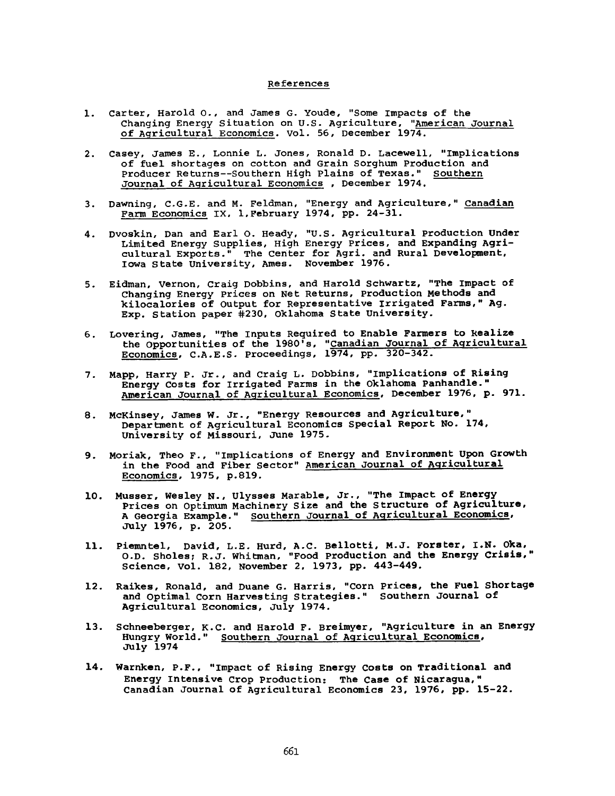### References

- 1. Carter, Harold o., and James G. Youde, "Some impacts of the Changing Energy Situation on U.S. Agriculture, "American Journal of Agricultural Economics. Vol. 56, December 1974.
- 2. Casey, James E., Lonnie L. Jones, Ronald D. Lacewell, "implications of fuel shortages on cotton and Grain Sorghum Production and Producer Returns--Southern High Plains of Texas." Southern Journal of Agricultural Economics , December 1974.
- 3. Dawning, C.G.E. and M. Feldman, "Energy and Agriculture," Canadian Farm Economics IX, 1, February 1974, pp. 24-31.
- 4. Dvoskin, Dan and Earl O. Heady, "U.S. Agricultural production Under Limited Energy Supplies, High Energy Prices, and Expanding Agricultural Exports." The Center for Agri. and Rural Development, Iowa State University, Ames. November 1976.
- 5. Eidman, Vernon, Craig Dobbins, and Harold Schwartz, "The impact of Changing Energy Prices on Net Returns, Production Methods and kilocalories of Output for Representative irrigated Farms," Ag. Exp. station paper #230, Oklahoma State University.
- 6. Lovering, James, "The Inputs Required to Enable Farmers to Realize the Opportunities of the 1980's, "<u>Canadian Journal of Agricultural</u> Economics, C.A.E.S. Proceedings, 1974, pp. 320-342.
- 7. Mapp, Harry P. Jr., and Craig L. Dobbins, "implications of Rising Energy Costs for Irrigated Farms in the Oklahoma Panhandle." American Journal of Agricultural Economics, December 1976, p. 971.
- 8. McKinsey, James W. Jr., "Energy Resources and Agriculture," Department of Agricultural Economics Special Report No. 174, University of Missouri, JUne 1975.
- 9. Moriak, Theo F., "Implications of Energy and Environment Upon Growth in the Food and Fiber Sector" American Journal of Agricultural Economics, 1975, p.819.
- 10. Musser, Wesley N., Ulysses Marable, Jr., "The Impact of Energy Prices on Optimum Machinery Size and the Structure of Agriculture, A Georgia Example." Southern Journal of Agricultural Economics, July 1976, p. 205.
- 11. Piemntel, David, L.E. Hurd, A.C. Bellotti, M.J. Forster, I.N. Oka, O.D. Sholes; R.J. Whitman, "Food production and the Energy Crisis," Science, Vol. 182, November 2, 1973, pp. 443-449.
- 12. Raikes, Ronald, and Duane G. Harris, "Corn prices, the Fuel Shortage and Optimal Corn Harvesting Strategies." Southern Journal of Agricultural Economics, July 1974.
- 13. Schneeberger, K.C. and Harold F. Breimyer, "Agriculture in an Energy Hungry World." Southern Journal of Agricultural Economics, July 1974
- 14. Warnken, P.F., "impact of Rising Energy Costs on Traditional and Energy Intensive Crop Production: The Case of Nicaragua," Canadian Journal of Agricultural Economics 23, 1976, pp. 15-22.